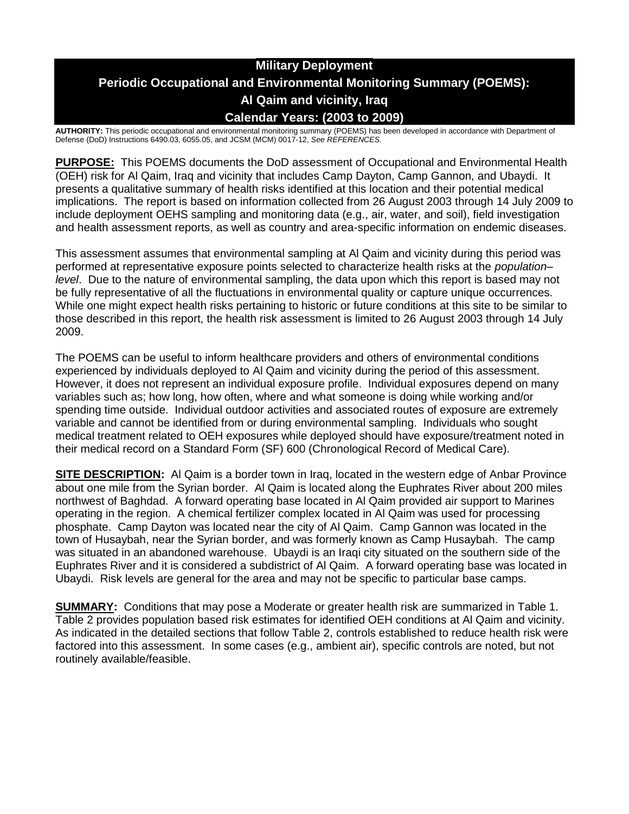# **Military Deployment Periodic Occupational and Environmental Monitoring Summary (POEMS): Al Qaim and vicinity, Iraq Calendar Years: (2003 to 2009)**

**AUTHORITY:** This periodic occupational and environmental monitoring summary (POEMS) has been developed in accordance with Department of Defense (DoD) Instructions 6490.03, 6055.05, and JCSM (MCM) 0017-12, *See REFERENCES.*

**PURPOSE:** This POEMS documents the DoD assessment of Occupational and Environmental Health (OEH) risk for Al Qaim, Iraq and vicinity that includes Camp Dayton, Camp Gannon, and Ubaydi. It presents a qualitative summary of health risks identified at this location and their potential medical implications. The report is based on information collected from 26 August 2003 through 14 July 2009 to include deployment OEHS sampling and monitoring data (e.g., air, water, and soil), field investigation and health assessment reports, as well as country and area-specific information on endemic diseases.

This assessment assumes that environmental sampling at Al Qaim and vicinity during this period was performed at representative exposure points selected to characterize health risks at the *population– level*. Due to the nature of environmental sampling, the data upon which this report is based may not be fully representative of all the fluctuations in environmental quality or capture unique occurrences. While one might expect health risks pertaining to historic or future conditions at this site to be similar to those described in this report, the health risk assessment is limited to 26 August 2003 through 14 July 2009.

The POEMS can be useful to inform healthcare providers and others of environmental conditions experienced by individuals deployed to Al Qaim and vicinity during the period of this assessment. However, it does not represent an individual exposure profile. Individual exposures depend on many variables such as; how long, how often, where and what someone is doing while working and/or spending time outside. Individual outdoor activities and associated routes of exposure are extremely variable and cannot be identified from or during environmental sampling. Individuals who sought medical treatment related to OEH exposures while deployed should have exposure/treatment noted in their medical record on a Standard Form (SF) 600 (Chronological Record of Medical Care).

**SITE DESCRIPTION:** Al Qaim is a border town in Iraq, located in the western edge of Anbar Province about one mile from the Syrian border. Al Qaim is located along the Euphrates River about 200 miles northwest of Baghdad. A forward operating base located in Al Qaim provided air support to Marines operating in the region. A chemical fertilizer complex located in Al Qaim was used for processing phosphate. Camp Dayton was located near the city of Al Qaim. Camp Gannon was located in the town of Husaybah, near the Syrian border, and was formerly known as Camp Husaybah. The camp was situated in an abandoned warehouse. Ubaydi is an Iraqi city situated on the southern side of the Euphrates River and it is considered a subdistrict of Al Qaim. A forward operating base was located in Ubaydi. Risk levels are general for the area and may not be specific to particular base camps.

**SUMMARY:** Conditions that may pose a Moderate or greater health risk are summarized in Table 1. Table 2 provides population based risk estimates for identified OEH conditions at Al Qaim and vicinity. As indicated in the detailed sections that follow Table 2, controls established to reduce health risk were factored into this assessment. In some cases (e.g., ambient air), specific controls are noted, but not routinely available/feasible.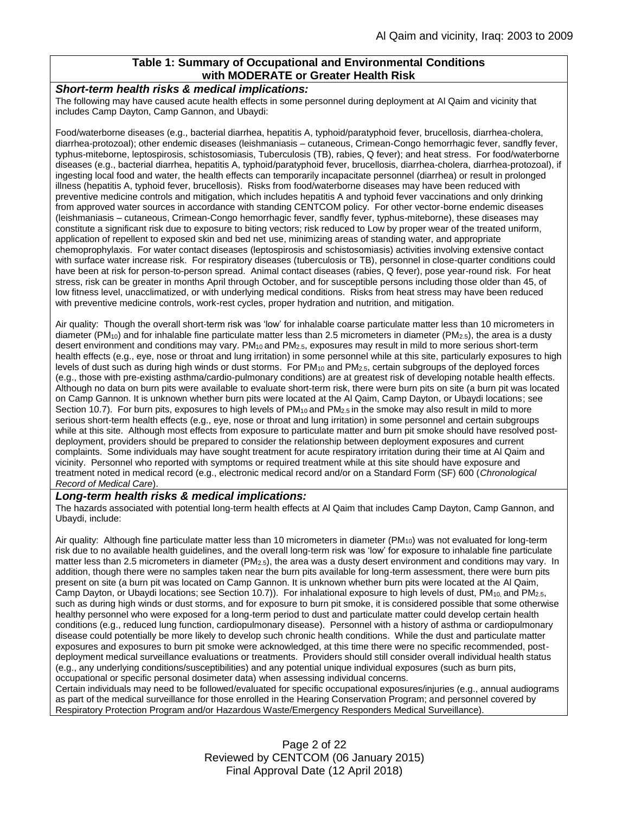### **Table 1: Summary of Occupational and Environmental Conditions with MODERATE or Greater Health Risk**

#### *Short-term health risks & medical implications:*

The following may have caused acute health effects in some personnel during deployment at Al Qaim and vicinity that includes Camp Dayton, Camp Gannon, and Ubaydi:

Food/waterborne diseases (e.g., bacterial diarrhea, hepatitis A, typhoid/paratyphoid fever, brucellosis, diarrhea-cholera, diarrhea-protozoal); other endemic diseases (leishmaniasis – cutaneous, Crimean-Congo hemorrhagic fever, sandfly fever, typhus-miteborne, leptospirosis, schistosomiasis, Tuberculosis (TB), rabies, Q fever); and heat stress. For food/waterborne diseases (e.g., bacterial diarrhea, hepatitis A, typhoid/paratyphoid fever, brucellosis, diarrhea-cholera, diarrhea-protozoal), if ingesting local food and water, the health effects can temporarily incapacitate personnel (diarrhea) or result in prolonged illness (hepatitis A, typhoid fever, brucellosis). Risks from food/waterborne diseases may have been reduced with preventive medicine controls and mitigation, which includes hepatitis A and typhoid fever vaccinations and only drinking from approved water sources in accordance with standing CENTCOM policy. For other vector-borne endemic diseases (leishmaniasis – cutaneous, Crimean-Congo hemorrhagic fever, sandfly fever, typhus-miteborne), these diseases may constitute a significant risk due to exposure to biting vectors; risk reduced to Low by proper wear of the treated uniform, application of repellent to exposed skin and bed net use, minimizing areas of standing water, and appropriate chemoprophylaxis. For water contact diseases (leptospirosis and schistosomiasis) activities involving extensive contact with surface water increase risk. For respiratory diseases (tuberculosis or TB), personnel in close-quarter conditions could have been at risk for person-to-person spread. Animal contact diseases (rabies, Q fever), pose year-round risk. For heat stress, risk can be greater in months April through October, and for susceptible persons including those older than 45, of low fitness level, unacclimatized, or with underlying medical conditions. Risks from heat stress may have been reduced with preventive medicine controls, work-rest cycles, proper hydration and nutrition, and mitigation.

Air quality: Though the overall short-term risk was 'low' for inhalable coarse particulate matter less than 10 micrometers in diameter (PM<sub>10</sub>) and for inhalable fine particulate matter less than 2.5 micrometers in diameter (PM<sub>2.5</sub>), the area is a dusty desert environment and conditions may vary. PM10 and PM2.5, exposures may result in mild to more serious short-term health effects (e.g., eye, nose or throat and lung irritation) in some personnel while at this site, particularly exposures to high levels of dust such as during high winds or dust storms. For PM<sub>10</sub> and PM<sub>2.5</sub>, certain subgroups of the deployed forces (e.g., those with pre-existing asthma/cardio-pulmonary conditions) are at greatest risk of developing notable health effects. Although no data on burn pits were available to evaluate short-term risk, there were burn pits on site (a burn pit was located on Camp Gannon. It is unknown whether burn pits were located at the Al Qaim, Camp Dayton, or Ubaydi locations; see Section 10.7). For burn pits, exposures to high levels of  $PM_{10}$  and  $PM_{2.5}$  in the smoke may also result in mild to more serious short-term health effects (e.g., eye, nose or throat and lung irritation) in some personnel and certain subgroups while at this site. Although most effects from exposure to particulate matter and burn pit smoke should have resolved postdeployment, providers should be prepared to consider the relationship between deployment exposures and current complaints. Some individuals may have sought treatment for acute respiratory irritation during their time at Al Qaim and vicinity. Personnel who reported with symptoms or required treatment while at this site should have exposure and treatment noted in medical record (e.g., electronic medical record and/or on a Standard Form (SF) 600 (*Chronological Record of Medical Care*).

#### *Long-term health risks & medical implications:*

The hazards associated with potential long-term health effects at Al Qaim that includes Camp Dayton, Camp Gannon, and Ubaydi, include:

Air quality: Although fine particulate matter less than 10 micrometers in diameter ( $PM_{10}$ ) was not evaluated for long-term risk due to no available health guidelines, and the overall long-term risk was 'low' for exposure to inhalable fine particulate matter less than 2.5 micrometers in diameter (PM<sub>2.5</sub>), the area was a dusty desert environment and conditions may vary. In addition, though there were no samples taken near the burn pits available for long-term assessment, there were burn pits present on site (a burn pit was located on Camp Gannon. It is unknown whether burn pits were located at the Al Qaim, Camp Dayton, or Ubaydi locations; see Section 10.7)). For inhalational exposure to high levels of dust, PM<sub>10</sub> and PM<sub>2.5</sub>, such as during high winds or dust storms, and for exposure to burn pit smoke, it is considered possible that some otherwise healthy personnel who were exposed for a long-term period to dust and particulate matter could develop certain health conditions (e.g., reduced lung function, cardiopulmonary disease). Personnel with a history of asthma or cardiopulmonary disease could potentially be more likely to develop such chronic health conditions. While the dust and particulate matter exposures and exposures to burn pit smoke were acknowledged, at this time there were no specific recommended, postdeployment medical surveillance evaluations or treatments. Providers should still consider overall individual health status (e.g., any underlying conditions/susceptibilities) and any potential unique individual exposures (such as burn pits, occupational or specific personal dosimeter data) when assessing individual concerns.

Certain individuals may need to be followed/evaluated for specific occupational exposures/injuries (e.g., annual audiograms as part of the medical surveillance for those enrolled in the Hearing Conservation Program; and personnel covered by Respiratory Protection Program and/or Hazardous Waste/Emergency Responders Medical Surveillance).

> Page 2 of 22 Reviewed by CENTCOM (06 January 2015) Final Approval Date (12 April 2018)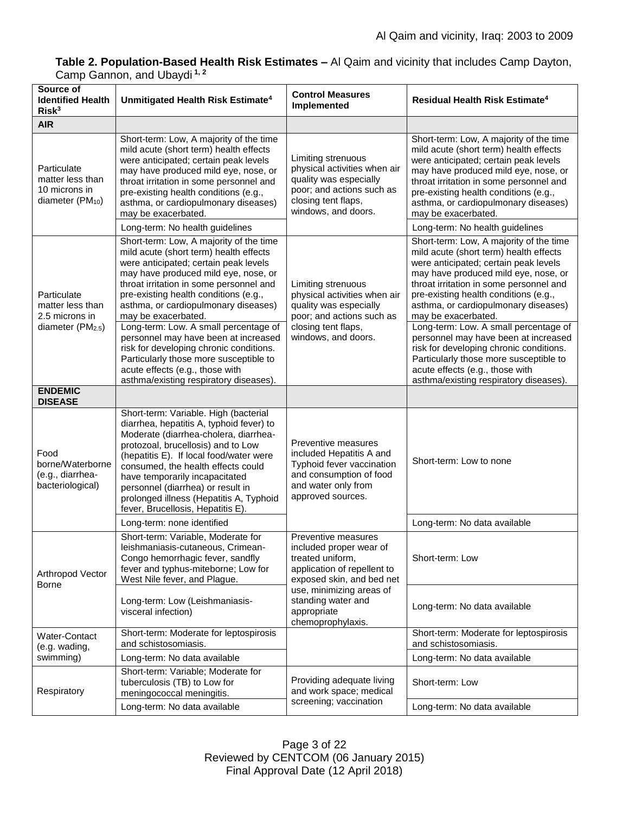## **Table 2. Population-Based Health Risk Estimates –** Al Qaim and vicinity that includes Camp Dayton, Camp Gannon, and Ubaydi **1, 2**

| Source of<br><b>Identified Health</b><br>Risk <sup>3</sup>                         | Unmitigated Health Risk Estimate <sup>4</sup>                                                                                                                                                                                                                                                                                                                                                                                                                                                                                  | <b>Control Measures</b><br>Implemented                                                                                                                  | Residual Health Risk Estimate <sup>4</sup>                                                                                                                                                                                                                                                                                                                                                                                                                                                                                     |
|------------------------------------------------------------------------------------|--------------------------------------------------------------------------------------------------------------------------------------------------------------------------------------------------------------------------------------------------------------------------------------------------------------------------------------------------------------------------------------------------------------------------------------------------------------------------------------------------------------------------------|---------------------------------------------------------------------------------------------------------------------------------------------------------|--------------------------------------------------------------------------------------------------------------------------------------------------------------------------------------------------------------------------------------------------------------------------------------------------------------------------------------------------------------------------------------------------------------------------------------------------------------------------------------------------------------------------------|
| <b>AIR</b>                                                                         |                                                                                                                                                                                                                                                                                                                                                                                                                                                                                                                                |                                                                                                                                                         |                                                                                                                                                                                                                                                                                                                                                                                                                                                                                                                                |
| Particulate<br>matter less than<br>10 microns in<br>diameter (PM <sub>10</sub> )   | Short-term: Low, A majority of the time<br>mild acute (short term) health effects<br>were anticipated; certain peak levels<br>may have produced mild eye, nose, or<br>throat irritation in some personnel and<br>pre-existing health conditions (e.g.,<br>asthma, or cardiopulmonary diseases)<br>may be exacerbated.                                                                                                                                                                                                          | Limiting strenuous<br>physical activities when air<br>quality was especially<br>poor; and actions such as<br>closing tent flaps,<br>windows, and doors. | Short-term: Low, A majority of the time<br>mild acute (short term) health effects<br>were anticipated; certain peak levels<br>may have produced mild eye, nose, or<br>throat irritation in some personnel and<br>pre-existing health conditions (e.g.,<br>asthma, or cardiopulmonary diseases)<br>may be exacerbated.                                                                                                                                                                                                          |
|                                                                                    | Long-term: No health guidelines                                                                                                                                                                                                                                                                                                                                                                                                                                                                                                |                                                                                                                                                         | Long-term: No health guidelines                                                                                                                                                                                                                                                                                                                                                                                                                                                                                                |
| Particulate<br>matter less than<br>2.5 microns in<br>diameter (PM <sub>2.5</sub> ) | Short-term: Low, A majority of the time<br>mild acute (short term) health effects<br>were anticipated; certain peak levels<br>may have produced mild eye, nose, or<br>throat irritation in some personnel and<br>pre-existing health conditions (e.g.,<br>asthma, or cardiopulmonary diseases)<br>may be exacerbated.<br>Long-term: Low. A small percentage of<br>personnel may have been at increased<br>risk for developing chronic conditions.<br>Particularly those more susceptible to<br>acute effects (e.g., those with | Limiting strenuous<br>physical activities when air<br>quality was especially<br>poor; and actions such as<br>closing tent flaps,<br>windows, and doors. | Short-term: Low, A majority of the time<br>mild acute (short term) health effects<br>were anticipated; certain peak levels<br>may have produced mild eye, nose, or<br>throat irritation in some personnel and<br>pre-existing health conditions (e.g.,<br>asthma, or cardiopulmonary diseases)<br>may be exacerbated.<br>Long-term: Low. A small percentage of<br>personnel may have been at increased<br>risk for developing chronic conditions.<br>Particularly those more susceptible to<br>acute effects (e.g., those with |
| <b>ENDEMIC</b>                                                                     | asthma/existing respiratory diseases).                                                                                                                                                                                                                                                                                                                                                                                                                                                                                         |                                                                                                                                                         | asthma/existing respiratory diseases).                                                                                                                                                                                                                                                                                                                                                                                                                                                                                         |
| <b>DISEASE</b>                                                                     |                                                                                                                                                                                                                                                                                                                                                                                                                                                                                                                                |                                                                                                                                                         |                                                                                                                                                                                                                                                                                                                                                                                                                                                                                                                                |
| Food<br>borne/Waterborne<br>(e.g., diarrhea-<br>bacteriological)                   | Short-term: Variable. High (bacterial<br>diarrhea, hepatitis A, typhoid fever) to<br>Moderate (diarrhea-cholera, diarrhea-<br>protozoal, brucellosis) and to Low<br>(hepatitis E). If local food/water were<br>consumed, the health effects could<br>have temporarily incapacitated<br>personnel (diarrhea) or result in<br>prolonged illness (Hepatitis A, Typhoid<br>fever, Brucellosis, Hepatitis E).                                                                                                                       | Preventive measures<br>included Hepatitis A and<br>Typhoid fever vaccination<br>and consumption of food<br>and water only from<br>approved sources.     | Short-term: Low to none                                                                                                                                                                                                                                                                                                                                                                                                                                                                                                        |
|                                                                                    | Long-term: none identified                                                                                                                                                                                                                                                                                                                                                                                                                                                                                                     |                                                                                                                                                         | Long-term: No data available                                                                                                                                                                                                                                                                                                                                                                                                                                                                                                   |
| Arthropod Vector<br><b>Borne</b>                                                   | Short-term: Variable, Moderate for<br>leishmaniasis-cutaneous, Crimean-<br>Congo hemorrhagic fever, sandfly<br>fever and typhus-miteborne; Low for<br>West Nile fever, and Plague.                                                                                                                                                                                                                                                                                                                                             | Preventive measures<br>included proper wear of<br>treated uniform,<br>application of repellent to<br>exposed skin, and bed net                          | Short-term: Low                                                                                                                                                                                                                                                                                                                                                                                                                                                                                                                |
|                                                                                    | Long-term: Low (Leishmaniasis-<br>visceral infection)                                                                                                                                                                                                                                                                                                                                                                                                                                                                          | use, minimizing areas of<br>standing water and<br>appropriate<br>chemoprophylaxis.                                                                      | Long-term: No data available                                                                                                                                                                                                                                                                                                                                                                                                                                                                                                   |
| Water-Contact<br>(e.g. wading,<br>swimming)                                        | Short-term: Moderate for leptospirosis<br>and schistosomiasis.                                                                                                                                                                                                                                                                                                                                                                                                                                                                 |                                                                                                                                                         | Short-term: Moderate for leptospirosis<br>and schistosomiasis.                                                                                                                                                                                                                                                                                                                                                                                                                                                                 |
|                                                                                    | Long-term: No data available                                                                                                                                                                                                                                                                                                                                                                                                                                                                                                   |                                                                                                                                                         | Long-term: No data available                                                                                                                                                                                                                                                                                                                                                                                                                                                                                                   |
| Respiratory                                                                        | Short-term: Variable; Moderate for<br>tuberculosis (TB) to Low for<br>meningococcal meningitis.                                                                                                                                                                                                                                                                                                                                                                                                                                | Providing adequate living<br>and work space; medical<br>screening; vaccination                                                                          | Short-term: Low                                                                                                                                                                                                                                                                                                                                                                                                                                                                                                                |
|                                                                                    | Long-term: No data available                                                                                                                                                                                                                                                                                                                                                                                                                                                                                                   |                                                                                                                                                         | Long-term: No data available                                                                                                                                                                                                                                                                                                                                                                                                                                                                                                   |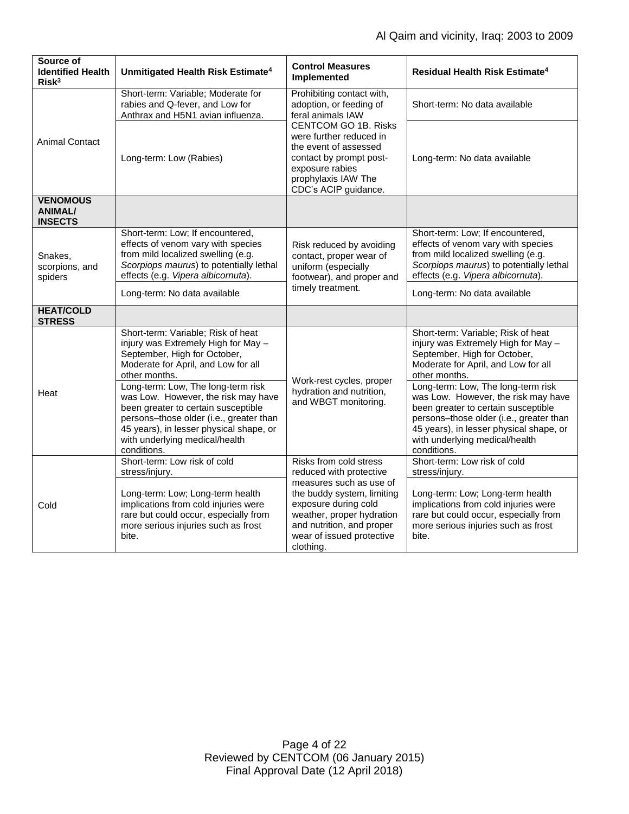| Source of<br><b>Identified Health</b><br>Risk <sup>3</sup> | Unmitigated Health Risk Estimate <sup>4</sup>                                                                                                                                                                                                           | <b>Control Measures</b><br>Implemented                                                                                                                                            | Residual Health Risk Estimate <sup>4</sup>                                                                                                                                                                                                              |
|------------------------------------------------------------|---------------------------------------------------------------------------------------------------------------------------------------------------------------------------------------------------------------------------------------------------------|-----------------------------------------------------------------------------------------------------------------------------------------------------------------------------------|---------------------------------------------------------------------------------------------------------------------------------------------------------------------------------------------------------------------------------------------------------|
| <b>Animal Contact</b>                                      | Short-term: Variable; Moderate for<br>rabies and Q-fever, and Low for<br>Anthrax and H5N1 avian influenza.                                                                                                                                              | Prohibiting contact with,<br>adoption, or feeding of<br>feral animals IAW                                                                                                         | Short-term: No data available                                                                                                                                                                                                                           |
|                                                            | Long-term: Low (Rabies)                                                                                                                                                                                                                                 | <b>CENTCOM GO 1B. Risks</b><br>were further reduced in<br>the event of assessed<br>contact by prompt post-<br>exposure rabies<br>prophylaxis IAW The<br>CDC's ACIP guidance.      | Long-term: No data available                                                                                                                                                                                                                            |
| <b>VENOMOUS</b><br><b>ANIMAL/</b><br><b>INSECTS</b>        |                                                                                                                                                                                                                                                         |                                                                                                                                                                                   |                                                                                                                                                                                                                                                         |
| Snakes,<br>scorpions, and<br>spiders                       | Short-term: Low; If encountered,<br>effects of venom vary with species<br>from mild localized swelling (e.g.<br>Scorpiops maurus) to potentially lethal<br>effects (e.g. Vipera albicornuta).                                                           | Risk reduced by avoiding<br>contact, proper wear of<br>uniform (especially<br>footwear), and proper and<br>timely treatment.                                                      | Short-term: Low; If encountered,<br>effects of venom vary with species<br>from mild localized swelling (e.g.<br>Scorpiops maurus) to potentially lethal<br>effects (e.g. Vipera albicornuta).                                                           |
|                                                            | Long-term: No data available                                                                                                                                                                                                                            |                                                                                                                                                                                   | Long-term: No data available                                                                                                                                                                                                                            |
| <b>HEAT/COLD</b><br><b>STRESS</b>                          |                                                                                                                                                                                                                                                         |                                                                                                                                                                                   |                                                                                                                                                                                                                                                         |
| Heat                                                       | Short-term: Variable; Risk of heat<br>injury was Extremely High for May -<br>September, High for October,<br>Moderate for April, and Low for all<br>other months.                                                                                       | Work-rest cycles, proper<br>hydration and nutrition,<br>and WBGT monitoring.                                                                                                      | Short-term: Variable; Risk of heat<br>injury was Extremely High for May -<br>September, High for October,<br>Moderate for April, and Low for all<br>other months.                                                                                       |
|                                                            | Long-term: Low, The long-term risk<br>was Low. However, the risk may have<br>been greater to certain susceptible<br>persons-those older (i.e., greater than<br>45 years), in lesser physical shape, or<br>with underlying medical/health<br>conditions. |                                                                                                                                                                                   | Long-term: Low, The long-term risk<br>was Low. However, the risk may have<br>been greater to certain susceptible<br>persons-those older (i.e., greater than<br>45 years), in lesser physical shape, or<br>with underlying medical/health<br>conditions. |
| Cold                                                       | Short-term: Low risk of cold<br>stress/injury.                                                                                                                                                                                                          | Risks from cold stress<br>reduced with protective                                                                                                                                 | Short-term: Low risk of cold<br>stress/injury.                                                                                                                                                                                                          |
|                                                            | Long-term: Low; Long-term health<br>implications from cold injuries were<br>rare but could occur, especially from<br>more serious injuries such as frost<br>bite.                                                                                       | measures such as use of<br>the buddy system, limiting<br>exposure during cold<br>weather, proper hydration<br>and nutrition, and proper<br>wear of issued protective<br>clothing. | Long-term: Low; Long-term health<br>implications from cold injuries were<br>rare but could occur, especially from<br>more serious injuries such as frost<br>bite.                                                                                       |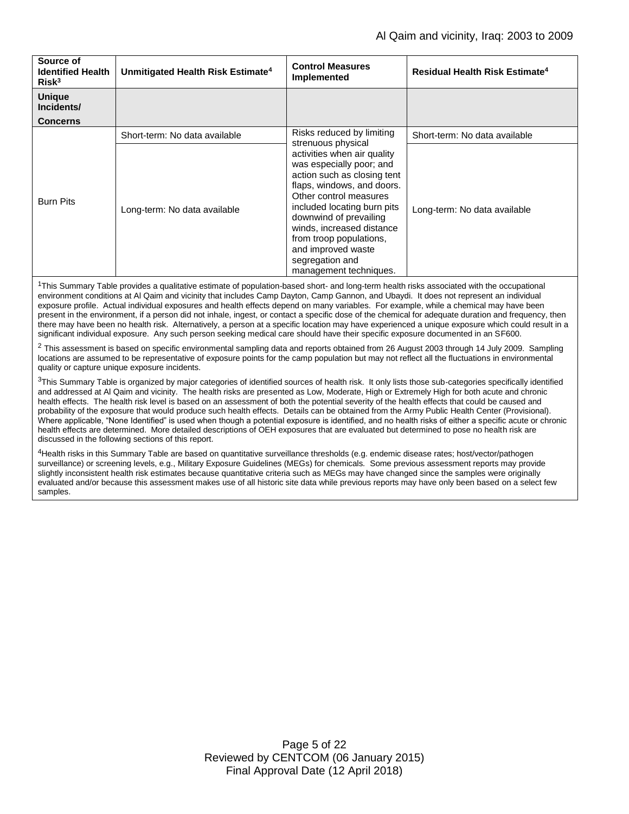| Source of<br><b>Identified Health</b> | Unmitigated Health Risk Estimate <sup>4</sup> | <b>Control Measures</b>                                                                                                                                                                                                                                                                                                            | <b>Residual Health Risk Estimate<sup>4</sup></b> |
|---------------------------------------|-----------------------------------------------|------------------------------------------------------------------------------------------------------------------------------------------------------------------------------------------------------------------------------------------------------------------------------------------------------------------------------------|--------------------------------------------------|
| Risk <sup>3</sup>                     |                                               | Implemented                                                                                                                                                                                                                                                                                                                        |                                                  |
| <b>Unique</b><br>Incidents/           |                                               |                                                                                                                                                                                                                                                                                                                                    |                                                  |
| <b>Concerns</b>                       |                                               |                                                                                                                                                                                                                                                                                                                                    |                                                  |
|                                       | Short-term: No data available                 | Risks reduced by limiting<br>strenuous physical                                                                                                                                                                                                                                                                                    | Short-term: No data available                    |
| <b>Burn Pits</b>                      | Long-term: No data available                  | activities when air quality<br>was especially poor; and<br>action such as closing tent<br>flaps, windows, and doors.<br>Other control measures<br>included locating burn pits<br>downwind of prevailing<br>winds, increased distance<br>from troop populations,<br>and improved waste<br>segregation and<br>management techniques. | Long-term: No data available                     |

<sup>1</sup>This Summary Table provides a qualitative estimate of population-based short- and long-term health risks associated with the occupational environment conditions at Al Qaim and vicinity that includes Camp Dayton, Camp Gannon, and Ubaydi. It does not represent an individual exposure profile. Actual individual exposures and health effects depend on many variables. For example, while a chemical may have been present in the environment, if a person did not inhale, ingest, or contact a specific dose of the chemical for adequate duration and frequency, then there may have been no health risk. Alternatively, a person at a specific location may have experienced a unique exposure which could result in a significant individual exposure. Any such person seeking medical care should have their specific exposure documented in an SF600.

 $2$  This assessment is based on specific environmental sampling data and reports obtained from 26 August 2003 through 14 July 2009. Sampling locations are assumed to be representative of exposure points for the camp population but may not reflect all the fluctuations in environmental quality or capture unique exposure incidents.

 $3$ This Summary Table is organized by major categories of identified sources of health risk. It only lists those sub-categories specifically identified and addressed at Al Qaim and vicinity. The health risks are presented as Low, Moderate, High or Extremely High for both acute and chronic health effects. The health risk level is based on an assessment of both the potential severity of the health effects that could be caused and probability of the exposure that would produce such health effects. Details can be obtained from the Army Public Health Center (Provisional). Where applicable, "None Identified" is used when though a potential exposure is identified, and no health risks of either a specific acute or chronic health effects are determined. More detailed descriptions of OEH exposures that are evaluated but determined to pose no health risk are discussed in the following sections of this report.

<sup>4</sup>Health risks in this Summary Table are based on quantitative surveillance thresholds (e.g. endemic disease rates; host/vector/pathogen surveillance) or screening levels, e.g., Military Exposure Guidelines (MEGs) for chemicals*.* Some previous assessment reports may provide slightly inconsistent health risk estimates because quantitative criteria such as MEGs may have changed since the samples were originally evaluated and/or because this assessment makes use of all historic site data while previous reports may have only been based on a select few samples.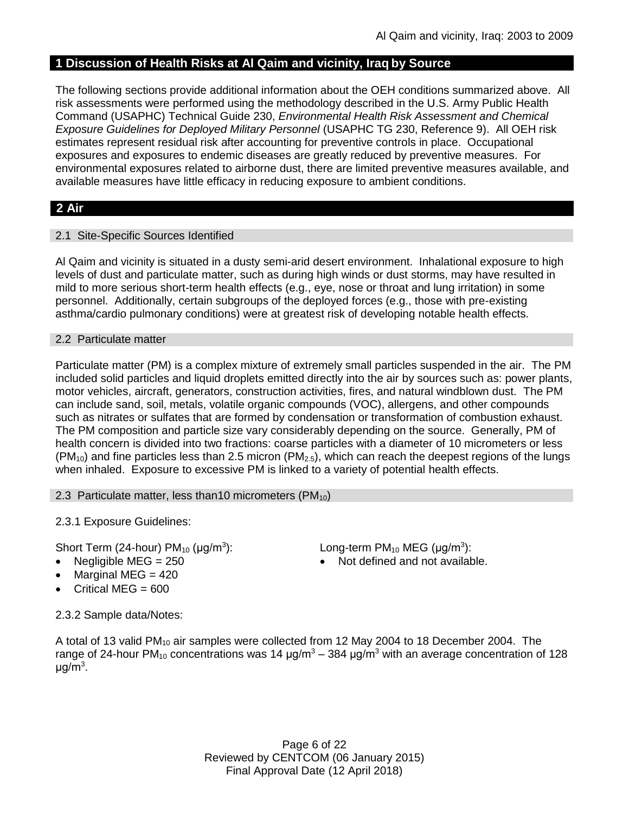# **1 Discussion of Health Risks at Al Qaim and vicinity, Iraq by Source**

The following sections provide additional information about the OEH conditions summarized above. All risk assessments were performed using the methodology described in the U.S. Army Public Health Command (USAPHC) Technical Guide 230, *Environmental Health Risk Assessment and Chemical Exposure Guidelines for Deployed Military Personnel* (USAPHC TG 230, Reference 9). All OEH risk estimates represent residual risk after accounting for preventive controls in place. Occupational exposures and exposures to endemic diseases are greatly reduced by preventive measures. For environmental exposures related to airborne dust, there are limited preventive measures available, and available measures have little efficacy in reducing exposure to ambient conditions.

# **2 Air**

### 2.1 Site-Specific Sources Identified

Al Qaim and vicinity is situated in a dusty semi-arid desert environment. Inhalational exposure to high levels of dust and particulate matter, such as during high winds or dust storms, may have resulted in mild to more serious short-term health effects (e.g., eye, nose or throat and lung irritation) in some personnel. Additionally, certain subgroups of the deployed forces (e.g., those with pre-existing asthma/cardio pulmonary conditions) were at greatest risk of developing notable health effects.

### 2.2 Particulate matter

Particulate matter (PM) is a complex mixture of extremely small particles suspended in the air. The PM included solid particles and liquid droplets emitted directly into the air by sources such as: power plants, motor vehicles, aircraft, generators, construction activities, fires, and natural windblown dust. The PM can include sand, soil, metals, volatile organic compounds (VOC), allergens, and other compounds such as nitrates or sulfates that are formed by condensation or transformation of combustion exhaust. The PM composition and particle size vary considerably depending on the source. Generally, PM of health concern is divided into two fractions: coarse particles with a diameter of 10 micrometers or less  $(PM_{10})$  and fine particles less than 2.5 micron (PM<sub>2.5</sub>), which can reach the deepest regions of the lungs when inhaled. Exposure to excessive PM is linked to a variety of potential health effects.

### 2.3 Particulate matter, less than 10 micrometers ( $PM_{10}$ )

2.3.1 Exposure Guidelines:

Short Term (24-hour)  $PM_{10}$  ( $\mu$ g/m<sup>3</sup>):

- 
- Marginal MEG  $= 420$
- Critical MEG =  $600$

): Long-term PM<sub>10</sub> MEG ( $\mu$ g/m<sup>3</sup>): Negligible  $MEG = 250$   $\bullet$  Not defined and not available.

2.3.2 Sample data/Notes:

A total of 13 valid PM<sub>10</sub> air samples were collected from 12 May 2004 to 18 December 2004. The range of 24-hour PM<sub>10</sub> concentrations was 14  $\mu q/m^3 - 384 \mu q/m^3$  with an average concentration of 128 μg/m<sup>3</sup>.

> Page 6 of 22 Reviewed by CENTCOM (06 January 2015) Final Approval Date (12 April 2018)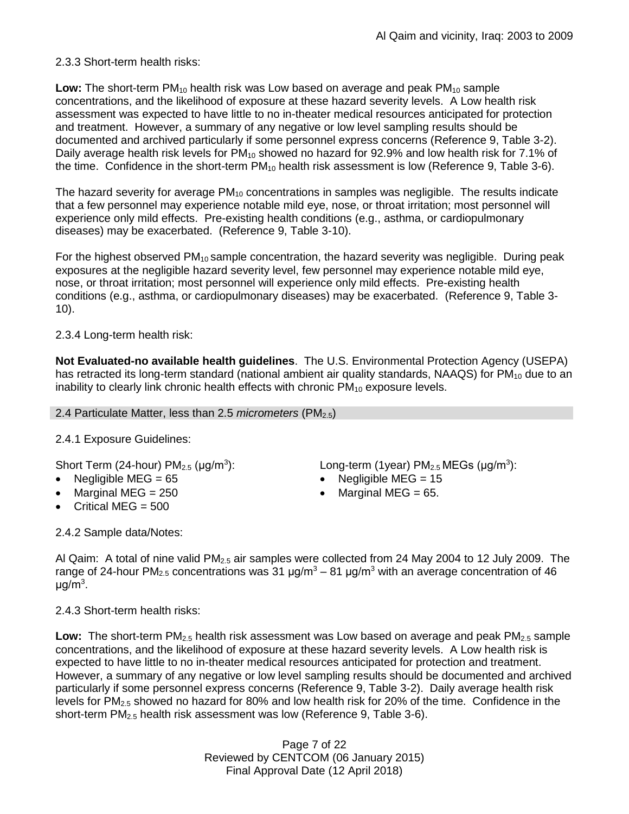2.3.3 Short-term health risks:

**Low:** The short-term PM<sub>10</sub> health risk was Low based on average and peak PM<sub>10</sub> sample concentrations, and the likelihood of exposure at these hazard severity levels. A Low health risk assessment was expected to have little to no in-theater medical resources anticipated for protection and treatment. However, a summary of any negative or low level sampling results should be documented and archived particularly if some personnel express concerns (Reference 9, Table 3-2). Daily average health risk levels for  $PM_{10}$  showed no hazard for 92.9% and low health risk for 7.1% of the time. Confidence in the short-term  $PM_{10}$  health risk assessment is low (Reference 9, Table 3-6).

The hazard severity for average  $PM_{10}$  concentrations in samples was negligible. The results indicate that a few personnel may experience notable mild eye, nose, or throat irritation; most personnel will experience only mild effects. Pre-existing health conditions (e.g., asthma, or cardiopulmonary diseases) may be exacerbated. (Reference 9, Table 3-10).

For the highest observed  $PM_{10}$  sample concentration, the hazard severity was negligible. During peak exposures at the negligible hazard severity level, few personnel may experience notable mild eye, nose, or throat irritation; most personnel will experience only mild effects. Pre-existing health conditions (e.g., asthma, or cardiopulmonary diseases) may be exacerbated. (Reference 9, Table 3- 10).

2.3.4 Long-term health risk:

**Not Evaluated-no available health guidelines**. The U.S. Environmental Protection Agency (USEPA) has retracted its long-term standard (national ambient air quality standards, NAAQS) for  $PM_{10}$  due to an inability to clearly link chronic health effects with chronic  $PM_{10}$  exposure levels.

### 2.4 Particulate Matter, less than 2.5 *micrometers* (PM2.5)

2.4.1 Exposure Guidelines:

Short Term (24-hour)  $PM<sub>2.5</sub>$  ( $\mu$ g/m<sup>3</sup>):

- 
- 
- Critical MEG  $= 500$

2.4.2 Sample data/Notes:

): Long-term (1year)  $PM_{2.5}$  MEGs ( $\mu$ g/m<sup>3</sup>):

- Negligible MEG = 65 Negligible MEG = 15
- Marginal MEG =  $250$   $\bullet$  Marginal MEG =  $65$ .

Al Qaim: A total of nine valid  $PM<sub>2.5</sub>$  air samples were collected from 24 May 2004 to 12 July 2009. The range of 24-hour PM<sub>2.5</sub> concentrations was 31  $\mu$ g/m<sup>3</sup> – 81  $\mu$ g/m<sup>3</sup> with an average concentration of 46 μg/m $^3$ .

2.4.3 Short-term health risks:

**Low:** The short-term PM<sub>2.5</sub> health risk assessment was Low based on average and peak PM<sub>2.5</sub> sample concentrations, and the likelihood of exposure at these hazard severity levels. A Low health risk is expected to have little to no in-theater medical resources anticipated for protection and treatment. However, a summary of any negative or low level sampling results should be documented and archived particularly if some personnel express concerns (Reference 9, Table 3-2). Daily average health risk levels for  $PM_{2.5}$  showed no hazard for 80% and low health risk for 20% of the time. Confidence in the short-term PM2.5 health risk assessment was low (Reference 9, Table 3-6).

> Page 7 of 22 Reviewed by CENTCOM (06 January 2015) Final Approval Date (12 April 2018)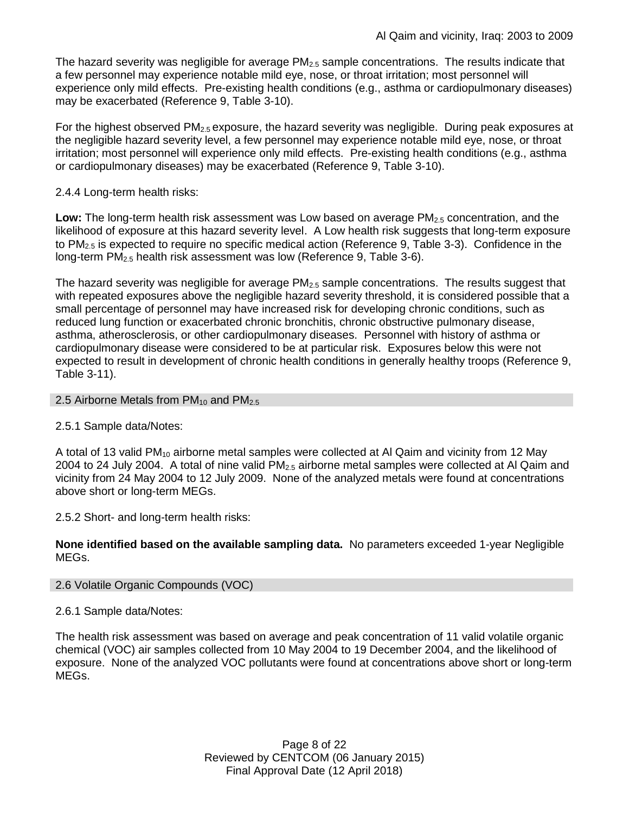The hazard severity was negligible for average  $PM_{2.5}$  sample concentrations. The results indicate that a few personnel may experience notable mild eye, nose, or throat irritation; most personnel will experience only mild effects. Pre-existing health conditions (e.g., asthma or cardiopulmonary diseases) may be exacerbated (Reference 9, Table 3-10).

For the highest observed  $PM_{2.5}$  exposure, the hazard severity was negligible. During peak exposures at the negligible hazard severity level, a few personnel may experience notable mild eye, nose, or throat irritation; most personnel will experience only mild effects. Pre-existing health conditions (e.g., asthma or cardiopulmonary diseases) may be exacerbated (Reference 9, Table 3-10).

### 2.4.4 Long-term health risks:

Low: The long-term health risk assessment was Low based on average PM<sub>2.5</sub> concentration, and the likelihood of exposure at this hazard severity level. A Low health risk suggests that long-term exposure to PM2.5 is expected to require no specific medical action (Reference 9, Table 3-3). Confidence in the long-term PM<sub>2.5</sub> health risk assessment was low (Reference 9, Table 3-6).

The hazard severity was negligible for average PM<sub>2.5</sub> sample concentrations. The results suggest that with repeated exposures above the negligible hazard severity threshold, it is considered possible that a small percentage of personnel may have increased risk for developing chronic conditions, such as reduced lung function or exacerbated chronic bronchitis, chronic obstructive pulmonary disease, asthma, atherosclerosis, or other cardiopulmonary diseases. Personnel with history of asthma or cardiopulmonary disease were considered to be at particular risk. Exposures below this were not expected to result in development of chronic health conditions in generally healthy troops (Reference 9, Table 3-11).

### 2.5 Airborne Metals from  $PM_{10}$  and  $PM_{2.5}$

## 2.5.1 Sample data/Notes:

A total of 13 valid PM<sub>10</sub> airborne metal samples were collected at AI Qaim and vicinity from 12 May 2004 to 24 July 2004. A total of nine valid PM<sub>2.5</sub> airborne metal samples were collected at Al Qaim and vicinity from 24 May 2004 to 12 July 2009. None of the analyzed metals were found at concentrations above short or long-term MEGs.

2.5.2 Short- and long-term health risks:

**None identified based on the available sampling data.** No parameters exceeded 1-year Negligible MEGs.

### 2.6 Volatile Organic Compounds (VOC)

## 2.6.1 Sample data/Notes:

The health risk assessment was based on average and peak concentration of 11 valid volatile organic chemical (VOC) air samples collected from 10 May 2004 to 19 December 2004, and the likelihood of exposure. None of the analyzed VOC pollutants were found at concentrations above short or long-term MEGs.

> Page 8 of 22 Reviewed by CENTCOM (06 January 2015) Final Approval Date (12 April 2018)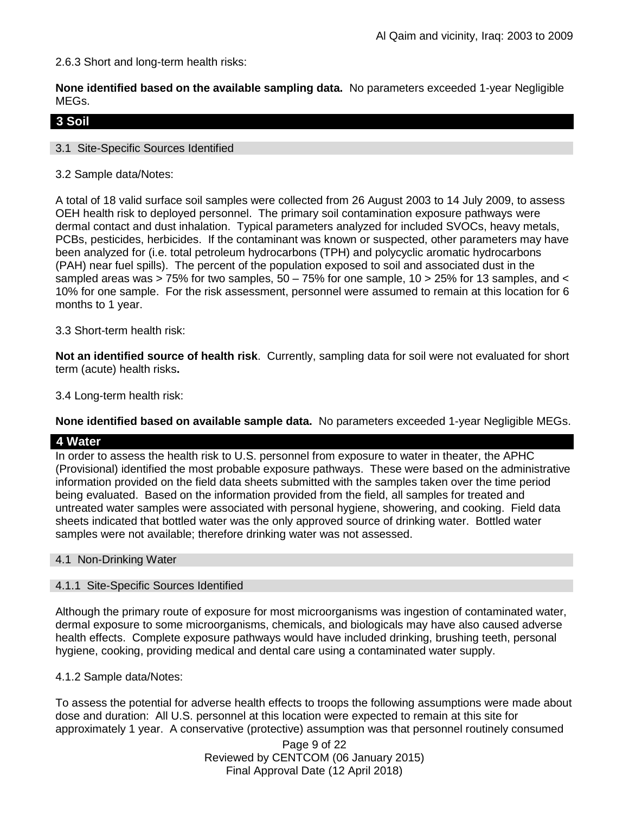2.6.3 Short and long-term health risks:

**None identified based on the available sampling data.** No parameters exceeded 1-year Negligible MEGs.

# **3 Soil**

### 3.1 Site-Specific Sources Identified

### 3.2 Sample data/Notes:

A total of 18 valid surface soil samples were collected from 26 August 2003 to 14 July 2009, to assess OEH health risk to deployed personnel. The primary soil contamination exposure pathways were dermal contact and dust inhalation. Typical parameters analyzed for included SVOCs, heavy metals, PCBs, pesticides, herbicides. If the contaminant was known or suspected, other parameters may have been analyzed for (i.e. total petroleum hydrocarbons (TPH) and polycyclic aromatic hydrocarbons (PAH) near fuel spills). The percent of the population exposed to soil and associated dust in the sampled areas was > 75% for two samples,  $50 - 75%$  for one sample,  $10 > 25%$  for 13 samples, and  $\lt$ 10% for one sample. For the risk assessment, personnel were assumed to remain at this location for 6 months to 1 year.

### 3.3 Short-term health risk:

**Not an identified source of health risk**. Currently, sampling data for soil were not evaluated for short term (acute) health risks**.**

3.4 Long-term health risk:

**None identified based on available sample data.** No parameters exceeded 1-year Negligible MEGs.

### **4 Water**

In order to assess the health risk to U.S. personnel from exposure to water in theater, the APHC (Provisional) identified the most probable exposure pathways. These were based on the administrative information provided on the field data sheets submitted with the samples taken over the time period being evaluated. Based on the information provided from the field, all samples for treated and untreated water samples were associated with personal hygiene, showering, and cooking. Field data sheets indicated that bottled water was the only approved source of drinking water. Bottled water samples were not available; therefore drinking water was not assessed.

### 4.1 Non-Drinking Water

### 4.1.1 Site-Specific Sources Identified

Although the primary route of exposure for most microorganisms was ingestion of contaminated water, dermal exposure to some microorganisms, chemicals, and biologicals may have also caused adverse health effects. Complete exposure pathways would have included drinking, brushing teeth, personal hygiene, cooking, providing medical and dental care using a contaminated water supply.

### 4.1.2 Sample data/Notes:

To assess the potential for adverse health effects to troops the following assumptions were made about dose and duration: All U.S. personnel at this location were expected to remain at this site for approximately 1 year. A conservative (protective) assumption was that personnel routinely consumed

> Page 9 of 22 Reviewed by CENTCOM (06 January 2015) Final Approval Date (12 April 2018)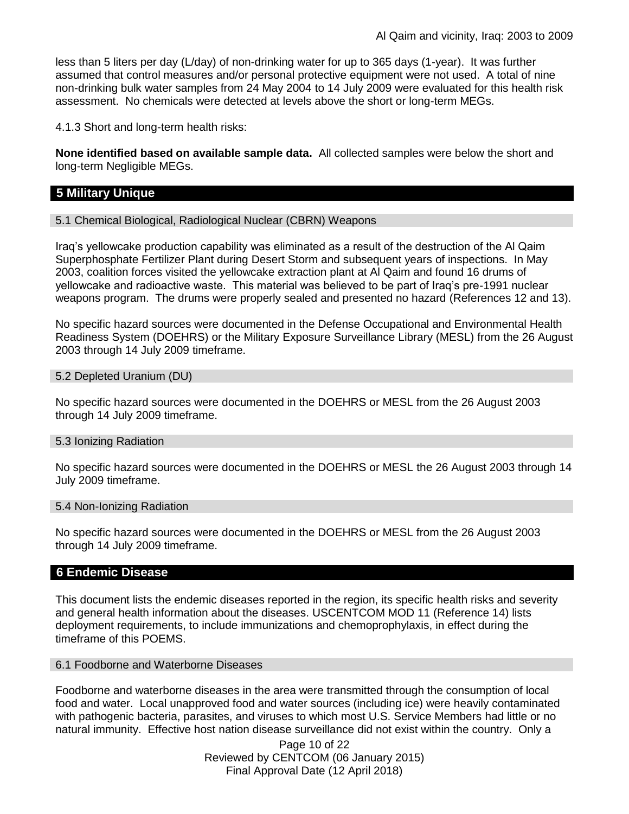less than 5 liters per day (L/day) of non-drinking water for up to 365 days (1-year). It was further assumed that control measures and/or personal protective equipment were not used. A total of nine non-drinking bulk water samples from 24 May 2004 to 14 July 2009 were evaluated for this health risk assessment. No chemicals were detected at levels above the short or long-term MEGs.

4.1.3 Short and long-term health risks:

**None identified based on available sample data.** All collected samples were below the short and long-term Negligible MEGs.

## **5 Military Unique**

5.1 Chemical Biological, Radiological Nuclear (CBRN) Weapons

Iraq's yellowcake production capability was eliminated as a result of the destruction of the Al Qaim Superphosphate Fertilizer Plant during Desert Storm and subsequent years of inspections. In May 2003, coalition forces visited the yellowcake extraction plant at Al Qaim and found 16 drums of yellowcake and radioactive waste. This material was believed to be part of Iraq's pre-1991 nuclear weapons program. The drums were properly sealed and presented no hazard (References 12 and 13).

No specific hazard sources were documented in the Defense Occupational and Environmental Health Readiness System (DOEHRS) or the Military Exposure Surveillance Library (MESL) from the 26 August 2003 through 14 July 2009 timeframe.

#### 5.2 Depleted Uranium (DU)

No specific hazard sources were documented in the DOEHRS or MESL from the 26 August 2003 through 14 July 2009 timeframe.

#### 5.3 Ionizing Radiation

No specific hazard sources were documented in the DOEHRS or MESL the 26 August 2003 through 14 July 2009 timeframe.

#### 5.4 Non-Ionizing Radiation

No specific hazard sources were documented in the DOEHRS or MESL from the 26 August 2003 through 14 July 2009 timeframe.

### **6 Endemic Disease**

This document lists the endemic diseases reported in the region, its specific health risks and severity and general health information about the diseases. USCENTCOM MOD 11 (Reference 14) lists deployment requirements, to include immunizations and chemoprophylaxis, in effect during the timeframe of this POEMS.

6.1 Foodborne and Waterborne Diseases

Foodborne and waterborne diseases in the area were transmitted through the consumption of local food and water. Local unapproved food and water sources (including ice) were heavily contaminated with pathogenic bacteria, parasites, and viruses to which most U.S. Service Members had little or no natural immunity. Effective host nation disease surveillance did not exist within the country. Only a

> Page 10 of 22 Reviewed by CENTCOM (06 January 2015) Final Approval Date (12 April 2018)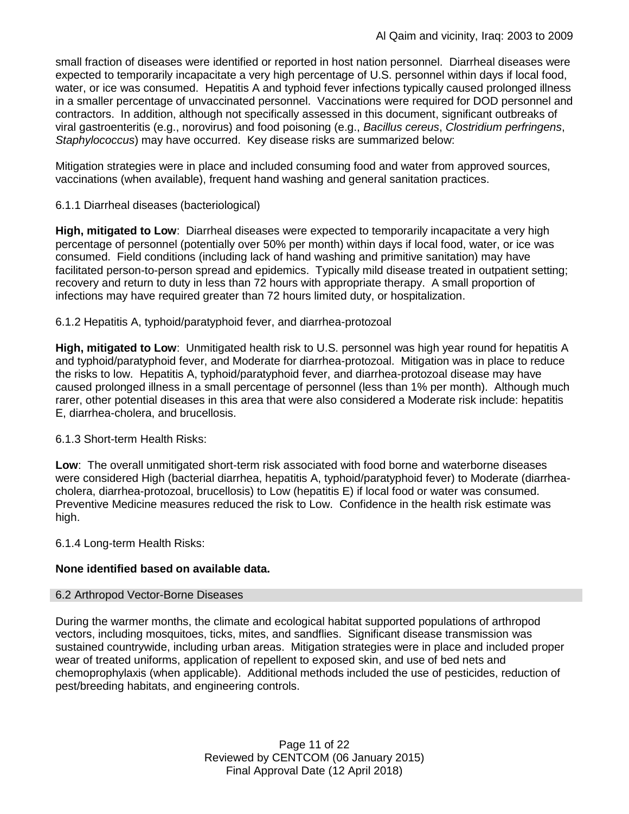small fraction of diseases were identified or reported in host nation personnel. Diarrheal diseases were expected to temporarily incapacitate a very high percentage of U.S. personnel within days if local food, water, or ice was consumed. Hepatitis A and typhoid fever infections typically caused prolonged illness in a smaller percentage of unvaccinated personnel. Vaccinations were required for DOD personnel and contractors. In addition, although not specifically assessed in this document, significant outbreaks of viral gastroenteritis (e.g., norovirus) and food poisoning (e.g., *Bacillus cereus*, *Clostridium perfringens*, *Staphylococcus*) may have occurred. Key disease risks are summarized below:

Mitigation strategies were in place and included consuming food and water from approved sources, vaccinations (when available), frequent hand washing and general sanitation practices.

6.1.1 Diarrheal diseases (bacteriological)

**High, mitigated to Low**: Diarrheal diseases were expected to temporarily incapacitate a very high percentage of personnel (potentially over 50% per month) within days if local food, water, or ice was consumed. Field conditions (including lack of hand washing and primitive sanitation) may have facilitated person-to-person spread and epidemics. Typically mild disease treated in outpatient setting; recovery and return to duty in less than 72 hours with appropriate therapy. A small proportion of infections may have required greater than 72 hours limited duty, or hospitalization.

6.1.2 Hepatitis A, typhoid/paratyphoid fever, and diarrhea-protozoal

**High, mitigated to Low**: Unmitigated health risk to U.S. personnel was high year round for hepatitis A and typhoid/paratyphoid fever, and Moderate for diarrhea-protozoal. Mitigation was in place to reduce the risks to low. Hepatitis A, typhoid/paratyphoid fever, and diarrhea-protozoal disease may have caused prolonged illness in a small percentage of personnel (less than 1% per month). Although much rarer, other potential diseases in this area that were also considered a Moderate risk include: hepatitis E, diarrhea-cholera, and brucellosis.

## 6.1.3 Short-term Health Risks:

**Low**: The overall unmitigated short-term risk associated with food borne and waterborne diseases were considered High (bacterial diarrhea, hepatitis A, typhoid/paratyphoid fever) to Moderate (diarrheacholera, diarrhea-protozoal, brucellosis) to Low (hepatitis E) if local food or water was consumed. Preventive Medicine measures reduced the risk to Low. Confidence in the health risk estimate was high.

6.1.4 Long-term Health Risks:

## **None identified based on available data.**

### 6.2 Arthropod Vector-Borne Diseases

During the warmer months, the climate and ecological habitat supported populations of arthropod vectors, including mosquitoes, ticks, mites, and sandflies. Significant disease transmission was sustained countrywide, including urban areas. Mitigation strategies were in place and included proper wear of treated uniforms, application of repellent to exposed skin, and use of bed nets and chemoprophylaxis (when applicable). Additional methods included the use of pesticides, reduction of pest/breeding habitats, and engineering controls.

> Page 11 of 22 Reviewed by CENTCOM (06 January 2015) Final Approval Date (12 April 2018)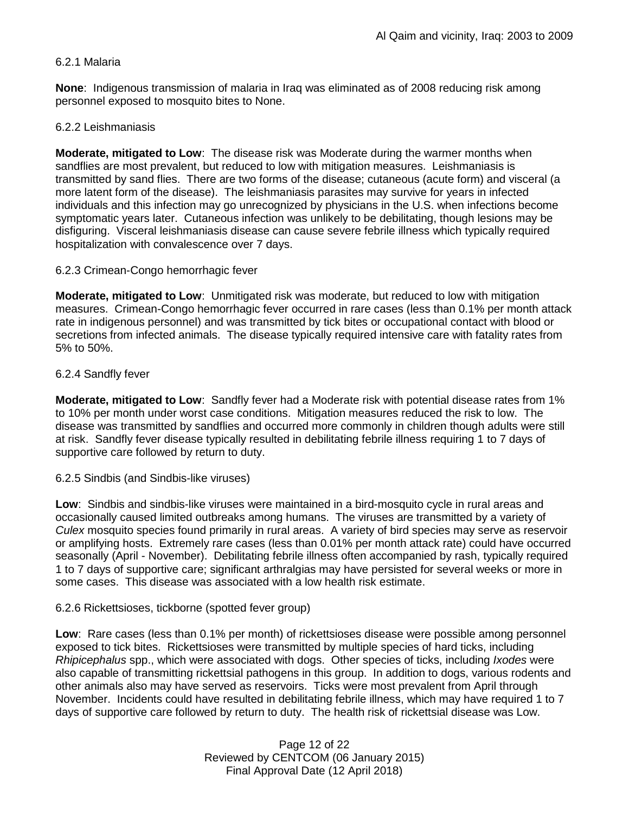### 6.2.1 Malaria

**None**: Indigenous transmission of malaria in Iraq was eliminated as of 2008 reducing risk among personnel exposed to mosquito bites to None.

### 6.2.2 Leishmaniasis

**Moderate, mitigated to Low**: The disease risk was Moderate during the warmer months when sandflies are most prevalent, but reduced to low with mitigation measures. Leishmaniasis is transmitted by sand flies. There are two forms of the disease; cutaneous (acute form) and visceral (a more latent form of the disease). The leishmaniasis parasites may survive for years in infected individuals and this infection may go unrecognized by physicians in the U.S. when infections become symptomatic years later. Cutaneous infection was unlikely to be debilitating, though lesions may be disfiguring. Visceral leishmaniasis disease can cause severe febrile illness which typically required hospitalization with convalescence over 7 days.

#### 6.2.3 Crimean-Congo hemorrhagic fever

**Moderate, mitigated to Low**: Unmitigated risk was moderate, but reduced to low with mitigation measures. Crimean-Congo hemorrhagic fever occurred in rare cases (less than 0.1% per month attack rate in indigenous personnel) and was transmitted by tick bites or occupational contact with blood or secretions from infected animals. The disease typically required intensive care with fatality rates from 5% to 50%.

#### 6.2.4 Sandfly fever

**Moderate, mitigated to Low**: Sandfly fever had a Moderate risk with potential disease rates from 1% to 10% per month under worst case conditions. Mitigation measures reduced the risk to low. The disease was transmitted by sandflies and occurred more commonly in children though adults were still at risk. Sandfly fever disease typically resulted in debilitating febrile illness requiring 1 to 7 days of supportive care followed by return to duty.

6.2.5 Sindbis (and Sindbis-like viruses)

**Low**: Sindbis and sindbis-like viruses were maintained in a bird-mosquito cycle in rural areas and occasionally caused limited outbreaks among humans. The viruses are transmitted by a variety of *Culex* mosquito species found primarily in rural areas. A variety of bird species may serve as reservoir or amplifying hosts. Extremely rare cases (less than 0.01% per month attack rate) could have occurred seasonally (April - November). Debilitating febrile illness often accompanied by rash, typically required 1 to 7 days of supportive care; significant arthralgias may have persisted for several weeks or more in some cases. This disease was associated with a low health risk estimate.

### 6.2.6 Rickettsioses, tickborne (spotted fever group)

**Low**: Rare cases (less than 0.1% per month) of rickettsioses disease were possible among personnel exposed to tick bites. Rickettsioses were transmitted by multiple species of hard ticks, including *Rhipicephalus* spp., which were associated with dogs. Other species of ticks, including *Ixodes* were also capable of transmitting rickettsial pathogens in this group. In addition to dogs, various rodents and other animals also may have served as reservoirs. Ticks were most prevalent from April through November. Incidents could have resulted in debilitating febrile illness, which may have required 1 to 7 days of supportive care followed by return to duty. The health risk of rickettsial disease was Low.

> Page 12 of 22 Reviewed by CENTCOM (06 January 2015) Final Approval Date (12 April 2018)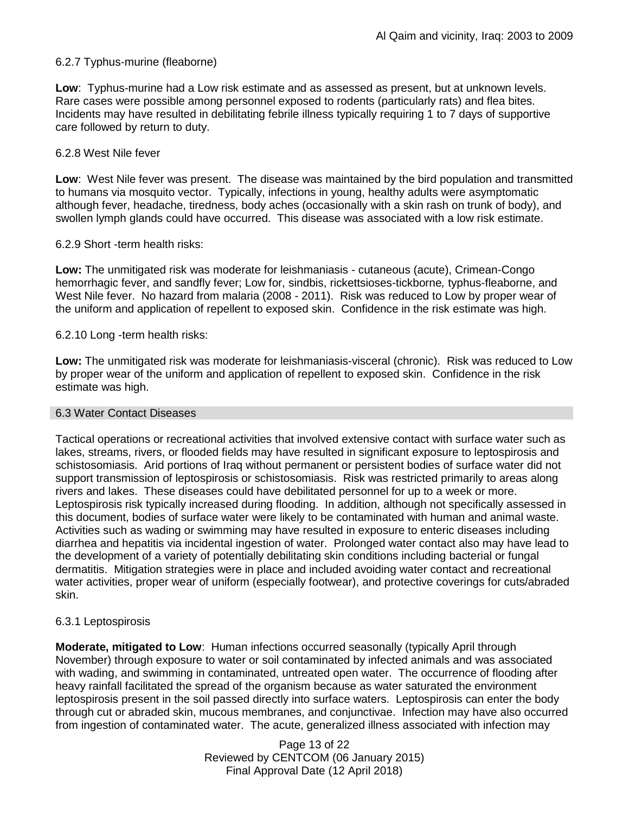### 6.2.7 Typhus-murine (fleaborne)

**Low**: Typhus-murine had a Low risk estimate and as assessed as present, but at unknown levels. Rare cases were possible among personnel exposed to rodents (particularly rats) and flea bites. Incidents may have resulted in debilitating febrile illness typically requiring 1 to 7 days of supportive care followed by return to duty.

### 6.2.8 West Nile fever

**Low**: West Nile fever was present. The disease was maintained by the bird population and transmitted to humans via mosquito vector. Typically, infections in young, healthy adults were asymptomatic although fever, headache, tiredness, body aches (occasionally with a skin rash on trunk of body), and swollen lymph glands could have occurred. This disease was associated with a low risk estimate.

### 6.2.9 Short -term health risks:

**Low:** The unmitigated risk was moderate for leishmaniasis - cutaneous (acute), Crimean-Congo hemorrhagic fever, and sandfly fever; Low for, sindbis, rickettsioses-tickborne*,* typhus-fleaborne, and West Nile fever. No hazard from malaria (2008 - 2011). Risk was reduced to Low by proper wear of the uniform and application of repellent to exposed skin. Confidence in the risk estimate was high.

### 6.2.10 Long -term health risks:

**Low:** The unmitigated risk was moderate for leishmaniasis-visceral (chronic). Risk was reduced to Low by proper wear of the uniform and application of repellent to exposed skin. Confidence in the risk estimate was high.

#### 6.3 Water Contact Diseases

Tactical operations or recreational activities that involved extensive contact with surface water such as lakes, streams, rivers, or flooded fields may have resulted in significant exposure to leptospirosis and schistosomiasis. Arid portions of Iraq without permanent or persistent bodies of surface water did not support transmission of leptospirosis or schistosomiasis. Risk was restricted primarily to areas along rivers and lakes. These diseases could have debilitated personnel for up to a week or more. Leptospirosis risk typically increased during flooding. In addition, although not specifically assessed in this document, bodies of surface water were likely to be contaminated with human and animal waste. Activities such as wading or swimming may have resulted in exposure to enteric diseases including diarrhea and hepatitis via incidental ingestion of water. Prolonged water contact also may have lead to the development of a variety of potentially debilitating skin conditions including bacterial or fungal dermatitis. Mitigation strategies were in place and included avoiding water contact and recreational water activities, proper wear of uniform (especially footwear), and protective coverings for cuts/abraded skin.

### 6.3.1 Leptospirosis

**Moderate, mitigated to Low**: Human infections occurred seasonally (typically April through November) through exposure to water or soil contaminated by infected animals and was associated with wading, and swimming in contaminated, untreated open water. The occurrence of flooding after heavy rainfall facilitated the spread of the organism because as water saturated the environment leptospirosis present in the soil passed directly into surface waters. Leptospirosis can enter the body through cut or abraded skin, mucous membranes, and conjunctivae. Infection may have also occurred from ingestion of contaminated water. The acute, generalized illness associated with infection may

> Page 13 of 22 Reviewed by CENTCOM (06 January 2015) Final Approval Date (12 April 2018)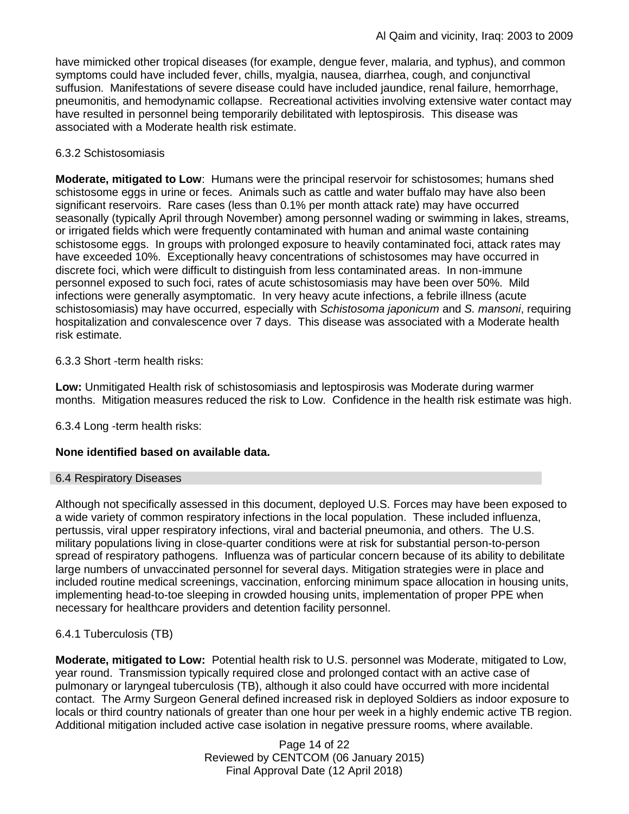have mimicked other tropical diseases (for example, dengue fever, malaria, and typhus), and common symptoms could have included fever, chills, myalgia, nausea, diarrhea, cough, and conjunctival suffusion. Manifestations of severe disease could have included jaundice, renal failure, hemorrhage, pneumonitis, and hemodynamic collapse. Recreational activities involving extensive water contact may have resulted in personnel being temporarily debilitated with leptospirosis. This disease was associated with a Moderate health risk estimate.

### 6.3.2 Schistosomiasis

**Moderate, mitigated to Low**: Humans were the principal reservoir for schistosomes; humans shed schistosome eggs in urine or feces. Animals such as cattle and water buffalo may have also been significant reservoirs. Rare cases (less than 0.1% per month attack rate) may have occurred seasonally (typically April through November) among personnel wading or swimming in lakes, streams, or irrigated fields which were frequently contaminated with human and animal waste containing schistosome eggs. In groups with prolonged exposure to heavily contaminated foci, attack rates may have exceeded 10%. Exceptionally heavy concentrations of schistosomes may have occurred in discrete foci, which were difficult to distinguish from less contaminated areas. In non-immune personnel exposed to such foci, rates of acute schistosomiasis may have been over 50%. Mild infections were generally asymptomatic. In very heavy acute infections, a febrile illness (acute schistosomiasis) may have occurred, especially with *Schistosoma japonicum* and *S. mansoni*, requiring hospitalization and convalescence over 7 days. This disease was associated with a Moderate health risk estimate.

6.3.3 Short -term health risks:

**Low:** Unmitigated Health risk of schistosomiasis and leptospirosis was Moderate during warmer months. Mitigation measures reduced the risk to Low. Confidence in the health risk estimate was high.

6.3.4 Long -term health risks:

## **None identified based on available data.**

### 6.4 Respiratory Diseases

Although not specifically assessed in this document, deployed U.S. Forces may have been exposed to a wide variety of common respiratory infections in the local population. These included influenza, pertussis, viral upper respiratory infections, viral and bacterial pneumonia, and others. The U.S. military populations living in close-quarter conditions were at risk for substantial person-to-person spread of respiratory pathogens. Influenza was of particular concern because of its ability to debilitate large numbers of unvaccinated personnel for several days. Mitigation strategies were in place and included routine medical screenings, vaccination, enforcing minimum space allocation in housing units, implementing head-to-toe sleeping in crowded housing units, implementation of proper PPE when necessary for healthcare providers and detention facility personnel.

## 6.4.1 Tuberculosis (TB)

**Moderate, mitigated to Low:** Potential health risk to U.S. personnel was Moderate, mitigated to Low, year round. Transmission typically required close and prolonged contact with an active case of pulmonary or laryngeal tuberculosis (TB), although it also could have occurred with more incidental contact. The Army Surgeon General defined increased risk in deployed Soldiers as indoor exposure to locals or third country nationals of greater than one hour per week in a highly endemic active TB region. Additional mitigation included active case isolation in negative pressure rooms, where available.

> Page 14 of 22 Reviewed by CENTCOM (06 January 2015) Final Approval Date (12 April 2018)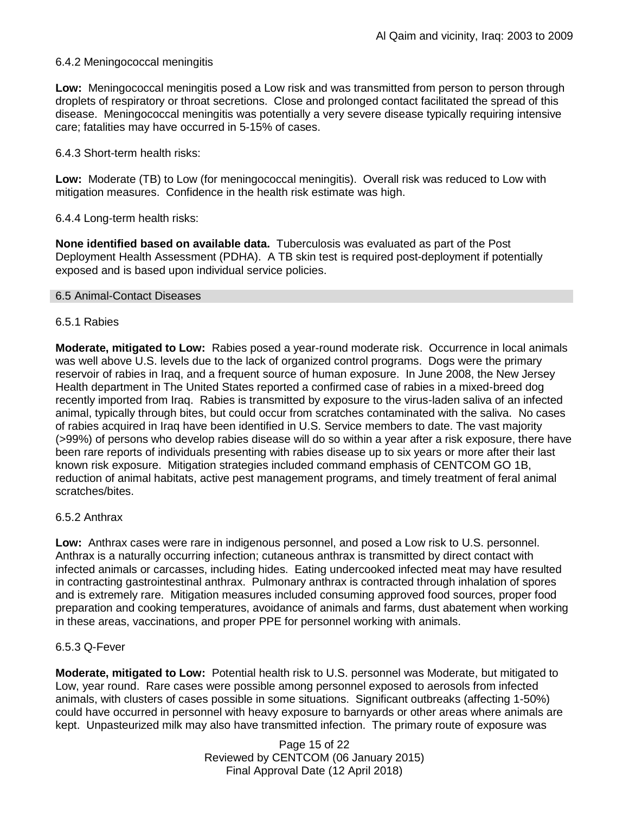### 6.4.2 Meningococcal meningitis

**Low:** Meningococcal meningitis posed a Low risk and was transmitted from person to person through droplets of respiratory or throat secretions. Close and prolonged contact facilitated the spread of this disease. Meningococcal meningitis was potentially a very severe disease typically requiring intensive care; fatalities may have occurred in 5-15% of cases.

### 6.4.3 Short-term health risks:

**Low:** Moderate (TB) to Low (for meningococcal meningitis). Overall risk was reduced to Low with mitigation measures. Confidence in the health risk estimate was high.

### 6.4.4 Long-term health risks:

**None identified based on available data.** Tuberculosis was evaluated as part of the Post Deployment Health Assessment (PDHA). A TB skin test is required post-deployment if potentially exposed and is based upon individual service policies.

### 6.5 Animal-Contact Diseases

### 6.5.1 Rabies

**Moderate, mitigated to Low:** Rabies posed a year-round moderate risk. Occurrence in local animals was well above U.S. levels due to the lack of organized control programs. Dogs were the primary reservoir of rabies in Iraq, and a frequent source of human exposure. In June 2008, the New Jersey Health department in The United States reported a confirmed case of rabies in a mixed-breed dog recently imported from Iraq. Rabies is transmitted by exposure to the virus-laden saliva of an infected animal, typically through bites, but could occur from scratches contaminated with the saliva. No cases of rabies acquired in Iraq have been identified in U.S. Service members to date. The vast majority (>99%) of persons who develop rabies disease will do so within a year after a risk exposure, there have been rare reports of individuals presenting with rabies disease up to six years or more after their last known risk exposure. Mitigation strategies included command emphasis of CENTCOM GO 1B, reduction of animal habitats, active pest management programs, and timely treatment of feral animal scratches/bites.

### 6.5.2 Anthrax

**Low:** Anthrax cases were rare in indigenous personnel, and posed a Low risk to U.S. personnel. Anthrax is a naturally occurring infection; cutaneous anthrax is transmitted by direct contact with infected animals or carcasses, including hides. Eating undercooked infected meat may have resulted in contracting gastrointestinal anthrax. Pulmonary anthrax is contracted through inhalation of spores and is extremely rare. Mitigation measures included consuming approved food sources, proper food preparation and cooking temperatures, avoidance of animals and farms, dust abatement when working in these areas, vaccinations, and proper PPE for personnel working with animals.

### 6.5.3 Q-Fever

**Moderate, mitigated to Low:** Potential health risk to U.S. personnel was Moderate, but mitigated to Low, year round. Rare cases were possible among personnel exposed to aerosols from infected animals, with clusters of cases possible in some situations. Significant outbreaks (affecting 1-50%) could have occurred in personnel with heavy exposure to barnyards or other areas where animals are kept. Unpasteurized milk may also have transmitted infection. The primary route of exposure was

> Page 15 of 22 Reviewed by CENTCOM (06 January 2015) Final Approval Date (12 April 2018)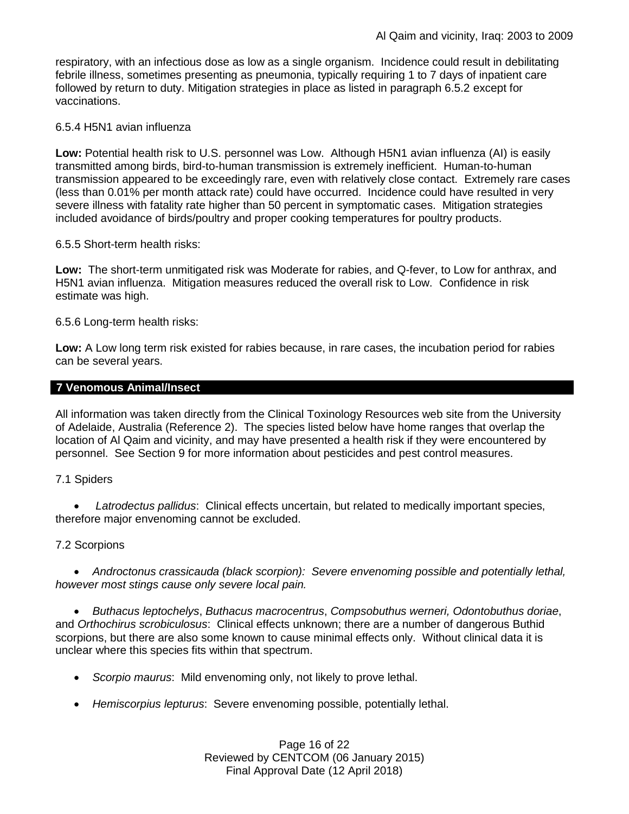respiratory, with an infectious dose as low as a single organism. Incidence could result in debilitating febrile illness, sometimes presenting as pneumonia, typically requiring 1 to 7 days of inpatient care followed by return to duty. Mitigation strategies in place as listed in paragraph 6.5.2 except for vaccinations.

### 6.5.4 H5N1 avian influenza

**Low:** Potential health risk to U.S. personnel was Low. Although H5N1 avian influenza (AI) is easily transmitted among birds, bird-to-human transmission is extremely inefficient. Human-to-human transmission appeared to be exceedingly rare, even with relatively close contact. Extremely rare cases (less than 0.01% per month attack rate) could have occurred. Incidence could have resulted in very severe illness with fatality rate higher than 50 percent in symptomatic cases. Mitigation strategies included avoidance of birds/poultry and proper cooking temperatures for poultry products.

### 6.5.5 Short-term health risks:

**Low:** The short-term unmitigated risk was Moderate for rabies, and Q-fever, to Low for anthrax, and H5N1 avian influenza. Mitigation measures reduced the overall risk to Low.Confidence in risk estimate was high.

### 6.5.6 Long-term health risks:

**Low:** A Low long term risk existed for rabies because, in rare cases, the incubation period for rabies can be several years.

## **7 Venomous Animal/Insect**

All information was taken directly from the Clinical Toxinology Resources web site from the University of Adelaide, Australia (Reference 2). The species listed below have home ranges that overlap the location of Al Qaim and vicinity, and may have presented a health risk if they were encountered by personnel. See Section 9 for more information about pesticides and pest control measures.

### 7.1 Spiders

 *Latrodectus pallidus*: Clinical effects uncertain, but related to medically important species, therefore major envenoming cannot be excluded.

### 7.2 Scorpions

 *Androctonus crassicauda (black scorpion): Severe envenoming possible and potentially lethal, however most stings cause only severe local pain.* 

 *Buthacus leptochelys*, *Buthacus macrocentrus*, *Compsobuthus werneri, Odontobuthus doriae*, and *Orthochirus scrobiculosus*: Clinical effects unknown; there are a number of dangerous Buthid scorpions, but there are also some known to cause minimal effects only. Without clinical data it is unclear where this species fits within that spectrum.

- *Scorpio maurus*: Mild envenoming only, not likely to prove lethal.
- *Hemiscorpius lepturus*: Severe envenoming possible, potentially lethal.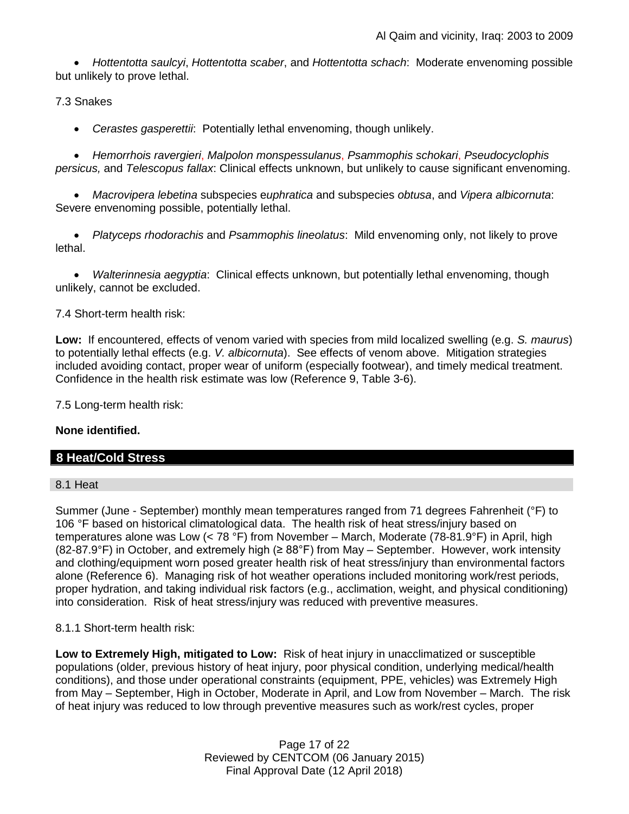*Hottentotta saulcyi*, *Hottentotta scaber*, and *Hottentotta schach*: Moderate envenoming possible but unlikely to prove lethal.

7.3 Snakes

*Cerastes gasperettii*: Potentially lethal envenoming, though unlikely.

 *Hemorrhois ravergieri*, *Malpolon monspessulanus*, *Psammophis schokari*, *Pseudocyclophis persicus,* and *Telescopus fallax*: Clinical effects unknown, but unlikely to cause significant envenoming.

 *Macrovipera lebetina* subspecies e*uphratica* and subspecies *obtusa*, and *Vipera albicornuta*: Severe envenoming possible, potentially lethal.

 *Platyceps rhodorachis* and *Psammophis lineolatus*: Mild envenoming only, not likely to prove lethal.

 *Walterinnesia aegyptia*: Clinical effects unknown, but potentially lethal envenoming, though unlikely, cannot be excluded.

7.4 Short-term health risk:

**Low:** If encountered, effects of venom varied with species from mild localized swelling (e.g. *S. maurus*) to potentially lethal effects (e.g. *V. albicornuta*). See effects of venom above. Mitigation strategies included avoiding contact, proper wear of uniform (especially footwear), and timely medical treatment. Confidence in the health risk estimate was low (Reference 9, Table 3-6).

7.5 Long-term health risk:

## **None identified.**

# **8 Heat/Cold Stress**

8.1 Heat

Summer (June - September) monthly mean temperatures ranged from 71 degrees Fahrenheit (°F) to 106 °F based on historical climatological data. The health risk of heat stress/injury based on temperatures alone was Low (< 78 °F) from November – March, Moderate (78-81.9°F) in April, high (82-87.9°F) in October, and extremely high (≥ 88°F) from May – September. However, work intensity and clothing/equipment worn posed greater health risk of heat stress/injury than environmental factors alone (Reference 6). Managing risk of hot weather operations included monitoring work/rest periods, proper hydration, and taking individual risk factors (e.g., acclimation, weight, and physical conditioning) into consideration. Risk of heat stress/injury was reduced with preventive measures.

8.1.1 Short-term health risk:

**Low to Extremely High, mitigated to Low:** Risk of heat injury in unacclimatized or susceptible populations (older, previous history of heat injury, poor physical condition, underlying medical/health conditions), and those under operational constraints (equipment, PPE, vehicles) was Extremely High from May – September, High in October, Moderate in April, and Low from November – March. The risk of heat injury was reduced to low through preventive measures such as work/rest cycles, proper

> Page 17 of 22 Reviewed by CENTCOM (06 January 2015) Final Approval Date (12 April 2018)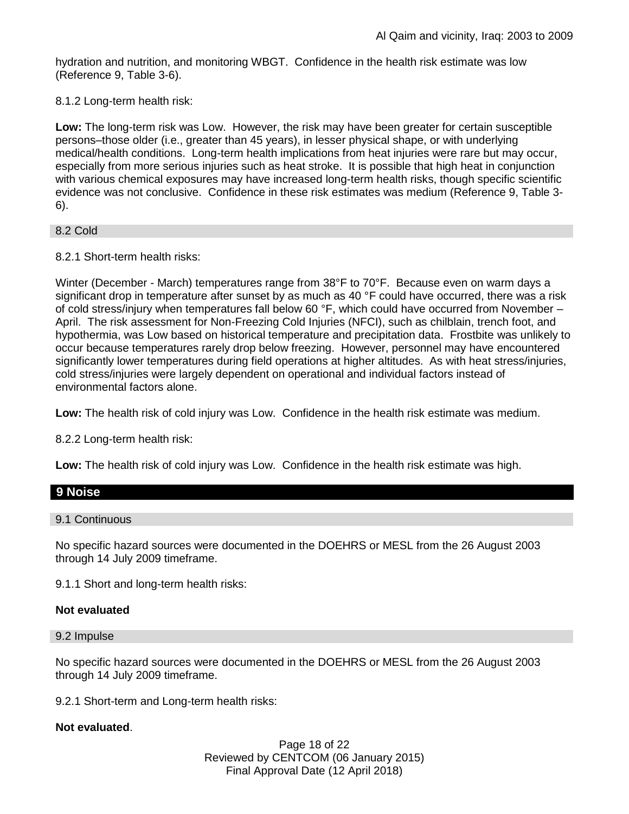hydration and nutrition, and monitoring WBGT. Confidence in the health risk estimate was low (Reference 9, Table 3-6).

8.1.2 Long-term health risk:

**Low:** The long-term risk was Low. However, the risk may have been greater for certain susceptible persons–those older (i.e., greater than 45 years), in lesser physical shape, or with underlying medical/health conditions. Long-term health implications from heat injuries were rare but may occur, especially from more serious injuries such as heat stroke. It is possible that high heat in conjunction with various chemical exposures may have increased long-term health risks, though specific scientific evidence was not conclusive. Confidence in these risk estimates was medium (Reference 9, Table 3- 6).

8.2 Cold

8.2.1 Short-term health risks:

Winter (December - March) temperatures range from 38°F to 70°F. Because even on warm days a significant drop in temperature after sunset by as much as 40 °F could have occurred, there was a risk of cold stress/injury when temperatures fall below 60 °F, which could have occurred from November – April. The risk assessment for Non-Freezing Cold Injuries (NFCI), such as chilblain, trench foot, and hypothermia, was Low based on historical temperature and precipitation data. Frostbite was unlikely to occur because temperatures rarely drop below freezing. However, personnel may have encountered significantly lower temperatures during field operations at higher altitudes. As with heat stress/injuries, cold stress/injuries were largely dependent on operational and individual factors instead of environmental factors alone.

**Low:** The health risk of cold injury was Low. Confidence in the health risk estimate was medium.

8.2.2 Long-term health risk:

**Low:** The health risk of cold injury was Low. Confidence in the health risk estimate was high.

## **9 Noise**

### 9.1 Continuous

No specific hazard sources were documented in the DOEHRS or MESL from the 26 August 2003 through 14 July 2009 timeframe.

9.1.1 Short and long-term health risks:

### **Not evaluated**

#### 9.2 Impulse

No specific hazard sources were documented in the DOEHRS or MESL from the 26 August 2003 through 14 July 2009 timeframe.

9.2.1 Short-term and Long-term health risks:

### **Not evaluated**.

Page 18 of 22 Reviewed by CENTCOM (06 January 2015) Final Approval Date (12 April 2018)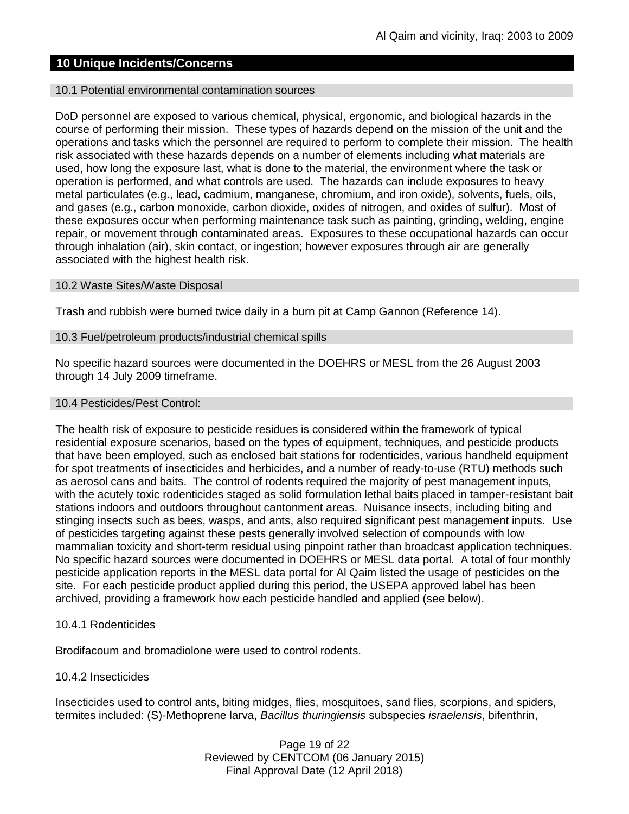# **10 Unique Incidents/Concerns**

#### 10.1 Potential environmental contamination sources

DoD personnel are exposed to various chemical, physical, ergonomic, and biological hazards in the course of performing their mission. These types of hazards depend on the mission of the unit and the operations and tasks which the personnel are required to perform to complete their mission. The health risk associated with these hazards depends on a number of elements including what materials are used, how long the exposure last, what is done to the material, the environment where the task or operation is performed, and what controls are used. The hazards can include exposures to heavy metal particulates (e.g., lead, cadmium, manganese, chromium, and iron oxide), solvents, fuels, oils, and gases (e.g., carbon monoxide, carbon dioxide, oxides of nitrogen, and oxides of sulfur). Most of these exposures occur when performing maintenance task such as painting, grinding, welding, engine repair, or movement through contaminated areas. Exposures to these occupational hazards can occur through inhalation (air), skin contact, or ingestion; however exposures through air are generally associated with the highest health risk.

#### 10.2 Waste Sites/Waste Disposal

Trash and rubbish were burned twice daily in a burn pit at Camp Gannon (Reference 14).

#### 10.3 Fuel/petroleum products/industrial chemical spills

No specific hazard sources were documented in the DOEHRS or MESL from the 26 August 2003 through 14 July 2009 timeframe.

#### 10.4 Pesticides/Pest Control:

The health risk of exposure to pesticide residues is considered within the framework of typical residential exposure scenarios, based on the types of equipment, techniques, and pesticide products that have been employed, such as enclosed bait stations for rodenticides, various handheld equipment for spot treatments of insecticides and herbicides, and a number of ready-to-use (RTU) methods such as aerosol cans and baits. The control of rodents required the majority of pest management inputs, with the acutely toxic rodenticides staged as solid formulation lethal baits placed in tamper-resistant bait stations indoors and outdoors throughout cantonment areas. Nuisance insects, including biting and stinging insects such as bees, wasps, and ants, also required significant pest management inputs. Use of pesticides targeting against these pests generally involved selection of compounds with low mammalian toxicity and short-term residual using pinpoint rather than broadcast application techniques. No specific hazard sources were documented in DOEHRS or MESL data portal. A total of four monthly pesticide application reports in the MESL data portal for Al Qaim listed the usage of pesticides on the site. For each pesticide product applied during this period, the USEPA approved label has been archived, providing a framework how each pesticide handled and applied (see below).

### 10.4.1 Rodenticides

Brodifacoum and bromadiolone were used to control rodents.

### 10.4.2 Insecticides

Insecticides used to control ants, biting midges, flies, mosquitoes, sand flies, scorpions, and spiders, termites included: (S)-Methoprene larva, *Bacillus thuringiensis* subspecies *israelensis*, bifenthrin,

> Page 19 of 22 Reviewed by CENTCOM (06 January 2015) Final Approval Date (12 April 2018)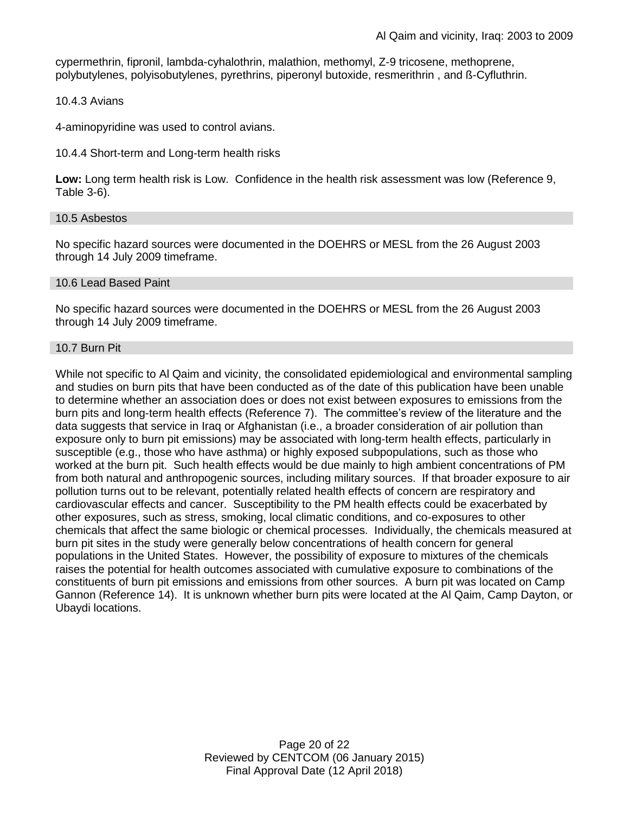cypermethrin, fipronil, lambda-cyhalothrin, malathion, methomyl, Z-9 tricosene, methoprene, polybutylenes, polyisobutylenes, pyrethrins, piperonyl butoxide, resmerithrin , and ß-Cyfluthrin.

### 10.4.3 Avians

4-aminopyridine was used to control avians.

#### 10.4.4 Short-term and Long-term health risks

**Low:** Long term health risk is Low. Confidence in the health risk assessment was low (Reference 9, Table 3-6).

#### 10.5 Asbestos

No specific hazard sources were documented in the DOEHRS or MESL from the 26 August 2003 through 14 July 2009 timeframe.

#### 10.6 Lead Based Paint

No specific hazard sources were documented in the DOEHRS or MESL from the 26 August 2003 through 14 July 2009 timeframe.

#### 10.7 Burn Pit

While not specific to Al Qaim and vicinity, the consolidated epidemiological and environmental sampling and studies on burn pits that have been conducted as of the date of this publication have been unable to determine whether an association does or does not exist between exposures to emissions from the burn pits and long-term health effects (Reference 7). The committee's review of the literature and the data suggests that service in Iraq or Afghanistan (i.e., a broader consideration of air pollution than exposure only to burn pit emissions) may be associated with long-term health effects, particularly in susceptible (e.g., those who have asthma) or highly exposed subpopulations, such as those who worked at the burn pit. Such health effects would be due mainly to high ambient concentrations of PM from both natural and anthropogenic sources, including military sources. If that broader exposure to air pollution turns out to be relevant, potentially related health effects of concern are respiratory and cardiovascular effects and cancer. Susceptibility to the PM health effects could be exacerbated by other exposures, such as stress, smoking, local climatic conditions, and co-exposures to other chemicals that affect the same biologic or chemical processes. Individually, the chemicals measured at burn pit sites in the study were generally below concentrations of health concern for general populations in the United States. However, the possibility of exposure to mixtures of the chemicals raises the potential for health outcomes associated with cumulative exposure to combinations of the constituents of burn pit emissions and emissions from other sources. A burn pit was located on Camp Gannon (Reference 14). It is unknown whether burn pits were located at the Al Qaim, Camp Dayton, or Ubaydi locations.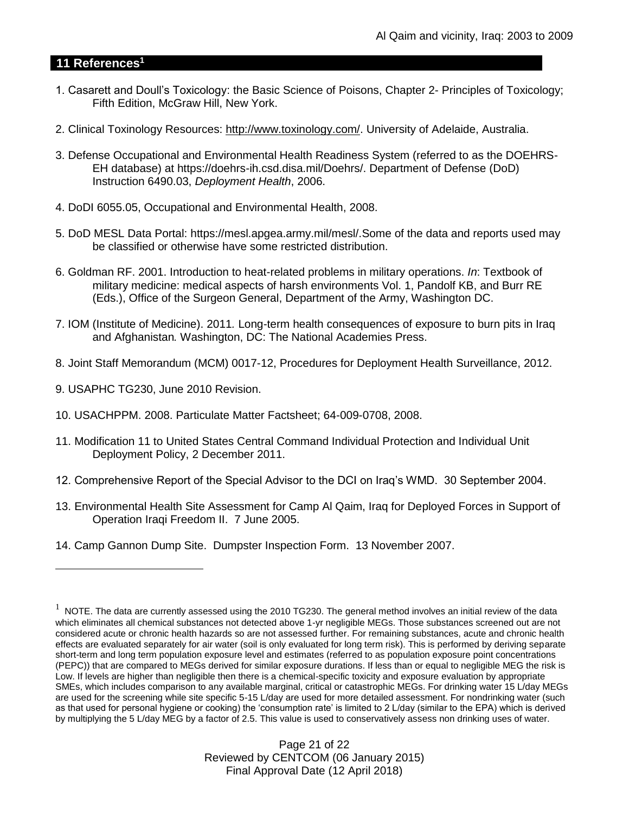# **11 References<sup>1</sup>**

- 1. Casarett and Doull's Toxicology: the Basic Science of Poisons, Chapter 2- Principles of Toxicology; Fifth Edition, McGraw Hill, New York.
- 2. Clinical Toxinology Resources: [http://www.toxinology.com/.](http://www.toxinology.com/) University of Adelaide, Australia.
- 3. Defense Occupational and Environmental Health Readiness System (referred to as the DOEHRS-EH database) at https://doehrs-ih.csd.disa.mil/Doehrs/. Department of Defense (DoD) Instruction 6490.03, *Deployment Health*, 2006.
- 4. DoDI 6055.05, Occupational and Environmental Health, 2008.
- 5. DoD MESL Data Portal: https://mesl.apgea.army.mil/mesl/.Some of the data and reports used may be classified or otherwise have some restricted distribution.
- 6. Goldman RF. 2001. Introduction to heat-related problems in military operations. *In*: Textbook of military medicine: medical aspects of harsh environments Vol. 1, Pandolf KB, and Burr RE (Eds.), Office of the Surgeon General, Department of the Army, Washington DC.
- 7. IOM (Institute of Medicine). 2011*.* Long-term health consequences of exposure to burn pits in Iraq and Afghanistan*.* Washington, DC: The National Academies Press.
- 8. Joint Staff Memorandum (MCM) 0017-12, Procedures for Deployment Health Surveillance, 2012.
- 9. USAPHC TG230, June 2010 Revision.

 $\overline{a}$ 

- 10. USACHPPM. 2008. Particulate Matter Factsheet; 64-009-0708, 2008.
- 11. Modification 11 to United States Central Command Individual Protection and Individual Unit Deployment Policy, 2 December 2011.
- 12. Comprehensive Report of the Special Advisor to the DCI on Iraq's WMD. 30 September 2004.
- 13. Environmental Health Site Assessment for Camp Al Qaim, Iraq for Deployed Forces in Support of Operation Iraqi Freedom II. 7 June 2005.
- 14. Camp Gannon Dump Site. Dumpster Inspection Form. 13 November 2007.

 $1$  NOTE. The data are currently assessed using the 2010 TG230. The general method involves an initial review of the data which eliminates all chemical substances not detected above 1-yr negligible MEGs. Those substances screened out are not considered acute or chronic health hazards so are not assessed further. For remaining substances, acute and chronic health effects are evaluated separately for air water (soil is only evaluated for long term risk). This is performed by deriving separate short-term and long term population exposure level and estimates (referred to as population exposure point concentrations (PEPC)) that are compared to MEGs derived for similar exposure durations. If less than or equal to negligible MEG the risk is Low. If levels are higher than negligible then there is a chemical-specific toxicity and exposure evaluation by appropriate SMEs, which includes comparison to any available marginal, critical or catastrophic MEGs. For drinking water 15 L/day MEGs are used for the screening while site specific 5-15 L/day are used for more detailed assessment. For nondrinking water (such as that used for personal hygiene or cooking) the 'consumption rate' is limited to 2 L/day (similar to the EPA) which is derived by multiplying the 5 L/day MEG by a factor of 2.5. This value is used to conservatively assess non drinking uses of water.